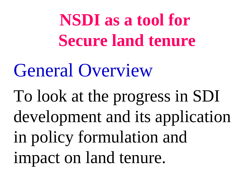**NSDI as a tool for Secure land tenure**

General Overview

To look at the progress in SDI development and its application in policy formulation and impact on land tenure.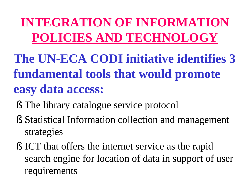#### **INTEGRATION OF INFORMATION POLICIES AND TECHNOLOGY**

- **The UN-ECA CODI initiative identifies 3 fundamental tools that would promote easy data access:**
	- § The library catalogue service protocol
	- § Statistical Information collection and management strategies
	- § ICT that offers the internet service as the rapid search engine for location of data in support of user requirements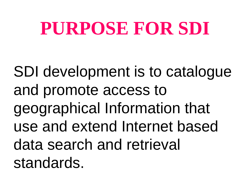## **PURPOSE FOR SDI**

SDI development is to catalogue and promote access to geographical Information that use and extend Internet based data search and retrieval standards.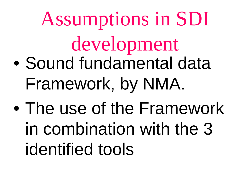# Assumptions in SDI development • Sound fundamental data Framework, by NMA.

• The use of the Framework in combination with the 3 identified tools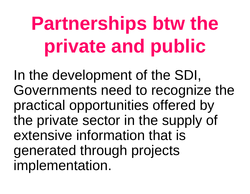# **Partnerships btw the private and public**

In the development of the SDI, Governments need to recognize the practical opportunities offered by the private sector in the supply of extensive information that is generated through projects implementation.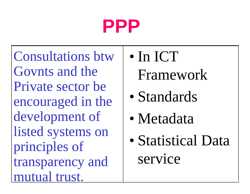## **PPP**

Consultations btw Govnts and the Private sector be encouraged in the development of listed systems on principles of transparency and mutual trust.

- In ICT
	- Framework
- Standards
- Metadata
- Statistical Data service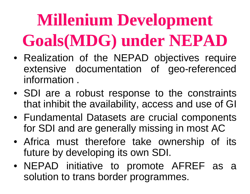## **Millenium Development Goals(MDG) under NEPAD**

- Realization of the NEPAD objectives require extensive documentation of geo-referenced information .
- SDI are a robust response to the constraints that inhibit the availability, access and use of GI
- Fundamental Datasets are crucial components for SDI and are generally missing in most AC
- Africa must therefore take ownership of its future by developing its own SDI.
- NEPAD initiative to promote AFREF as a solution to trans border programmes.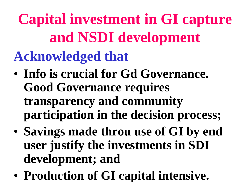**Capital investment in GI capture and NSDI development Acknowledged that**

- **Info is crucial for Gd Governance. Good Governance requires transparency and community participation in the decision process;**
- **Savings made throu use of GI by end user justify the investments in SDI development; and**
- **Production of GI capital intensive.**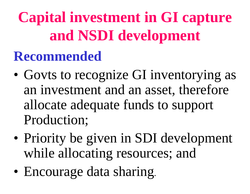**Capital investment in GI capture and NSDI development**

#### **Recommended**

- Govts to recognize GI inventorying as an investment and an asset, therefore allocate adequate funds to support Production;
- Priority be given in SDI development while allocating resources; and
- Encourage data sharing.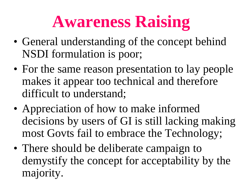## **Awareness Raising**

- General understanding of the concept behind NSDI formulation is poor;
- For the same reason presentation to lay people makes it appear too technical and therefore difficult to understand;
- Appreciation of how to make informed decisions by users of GI is still lacking making most Govts fail to embrace the Technology;
- There should be deliberate campaign to demystify the concept for acceptability by the majority.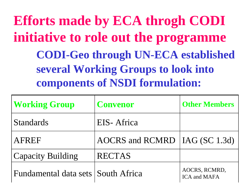**Efforts made by ECA throgh CODI initiative to role out the programme CODI-Geo through UN-ECA established several Working Groups to look into components of NSDI formulation:**

| <b>Working Group</b>                 | <b>Convenor</b>                 | <b>Other Members</b>                        |
|--------------------------------------|---------------------------------|---------------------------------------------|
| <b>Standards</b>                     | EIS-Africa                      |                                             |
| AFREF                                | AOCRS and RCMRD   IAG (SC 1.3d) |                                             |
| <b>Capacity Building</b>             | <b>RECTAS</b>                   |                                             |
| Fundamental data sets   South Africa |                                 | AOCRS, RCMRD,<br><b>ICA</b> and <b>MAFA</b> |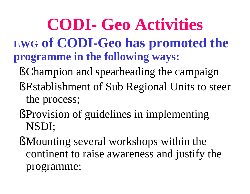#### **CODI- Geo Activities EWG of CODI-Geo has promoted the programme in the following ways:**

- §Champion and spearheading the campaign
- § Establishment of Sub Regional Units to steer the process;
- § Provision of guidelines in implementing NSDI;
- § Mounting several workshops within the continent to raise awareness and justify the programme;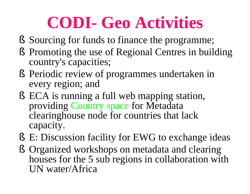### **CODI- Geo Activities**

- § Sourcing for funds to finance the programme;
- § Promoting the use of Regional Centres in building country's capacities;
- § Periodic review of programmes undertaken in every region; and
- § ECA is running a full web mapping station, providing Country space for Metadata clearinghouse node for countries that lack capacity.
- § E: Discussion facility for EWG to exchange ideas
- § Organized workshops on metadata and clearing houses for the 5 sub regions in collaboration with UN water/Africa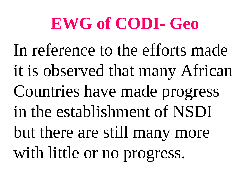### **EWG of CODI- Geo**

In reference to the efforts made it is observed that many African Countries have made progress in the establishment of NSDI but there are still many more with little or no progress.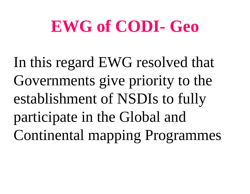### **EWG of CODI- Geo**

In this regard EWG resolved that Governments give priority to the establishment of NSDIs to fully participate in the Global and Continental mapping Programmes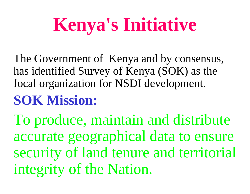## **Kenya's Initiative**

The Government of Kenya and by consensus, has identified Survey of Kenya (SOK) as the focal organization for NSDI development.

#### **SOK Mission:**

To produce, maintain and distribute accurate geographical data to ensure security of land tenure and territorial integrity of the Nation.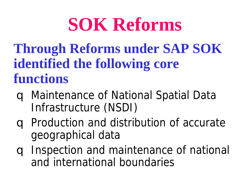## **SOK Reforms**

**Through Reforms under SAP SOK identified the following core functions**

- q Maintenance of National Spatial Data Infrastructure (NSDI)
- q Production and distribution of accurate geographical data
- q Inspection and maintenance of national and international boundaries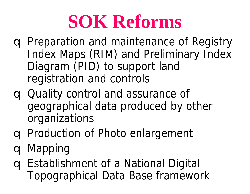## **SOK Reforms**

- q Preparation and maintenance of Registry Index Maps (RIM) and Preliminary Index Diagram (PID) to support land registration and controls
- q Quality control and assurance of geographical data produced by other organizations
- q Production of Photo enlargement
- q Mapping
- q Establishment of a National Digital Topographical Data Base framework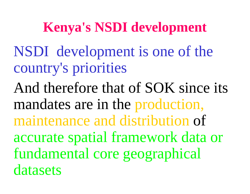#### **Kenya's NSDI development**

NSDI development is one of the country's priorities

And therefore that of SOK since its mandates are in the production, maintenance and distribution of accurate spatial framework data or fundamental core geographical datasets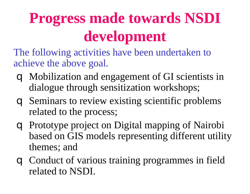### **Progress made towards NSDI development**

The following activities have been undertaken to achieve the above goal.

- q Mobilization and engagement of GI scientists in dialogue through sensitization workshops;
- q Seminars to review existing scientific problems related to the process;
- q Prototype project on Digital mapping of Nairobi based on GIS models representing different utility themes; and
- q Conduct of various training programmes in field related to NSDI.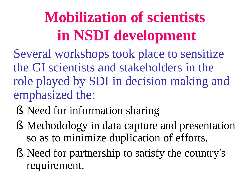### **Mobilization of scientists in NSDI development**

Several workshops took place to sensitize the GI scientists and stakeholders in the role played by SDI in decision making and emphasized the:

- § Need for information sharing
- § Methodology in data capture and presentation so as to minimize duplication of efforts.
- § Need for partnership to satisfy the country's requirement.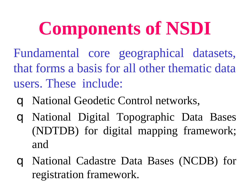## **Components of NSDI**

- Fundamental core geographical datasets, that forms a basis for all other thematic data users. These include:
	- q National Geodetic Control networks,
	- q National Digital Topographic Data Bases (NDTDB) for digital mapping framework; and
	- q National Cadastre Data Bases (NCDB) for registration framework.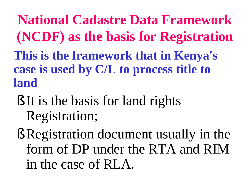**National Cadastre Data Framework (NCDF) as the basis for Registration This is the framework that in Kenya's case is used by C/L to process title to land**

- § It is the basis for land rights Registration;
- § Registration document usually in the form of DP under the RTA and RIM in the case of RLA.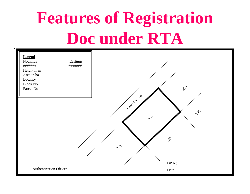## **Features of Registration**  . **Doc under RTA**

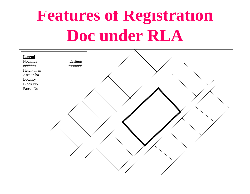### **Features of Registration Doc under RLA**

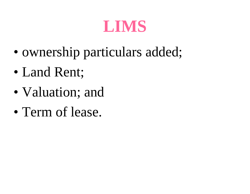#### **LIMS**

- ownership particulars added;
- Land Rent;
- Valuation; and
- Term of lease.